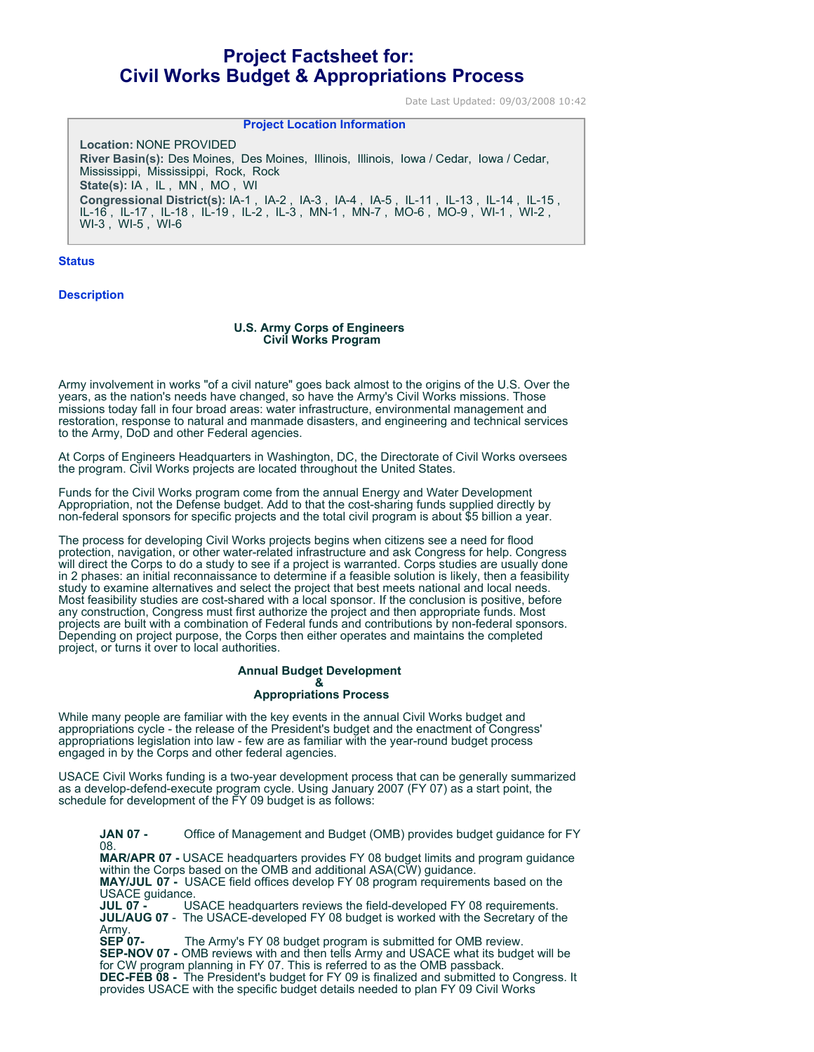# **Project Factsheet for: Civil Works Budget & Appropriations Process**

Date Last Updated: 09/03/2008 10:42

## **Project Location Information**

**Location:** NONE PROVIDED **River Basin(s):** Des Moines, Des Moines, Illinois, Illinois, Iowa / Cedar, Iowa / Cedar, Mississippi, Mississippi, Rock, Rock **State(s):** IA , IL , MN , MO , WI **Congressional District(s):** IA-1 , IA-2 , IA-3 , IA-4 , IA-5 , IL-11 , IL-13 , IL-14 , IL-15 , IL-16 , IL-17 , IL-18 , IL-19 , IL-2 , IL-3 , MN-1 , MN-7 , MO-6 , MO-9 , WI-1 , WI-2 , WI-3 , WI-5 , WI-6

**Status**

**Description**

#### **U.S. Army Corps of Engineers Civil Works Program**

Army involvement in works "of a civil nature" goes back almost to the origins of the U.S. Over the years, as the nation's needs have changed, so have the Army's Civil Works missions. Those missions today fall in four broad areas: water infrastructure, environmental management and restoration, response to natural and manmade disasters, and engineering and technical services to the Army, DoD and other Federal agencies.

At Corps of Engineers Headquarters in Washington, DC, the Directorate of Civil Works oversees the program. Civil Works projects are located throughout the United States.

Funds for the Civil Works program come from the annual Energy and Water Development Appropriation, not the Defense budget. Add to that the cost-sharing funds supplied directly by non-federal sponsors for specific projects and the total civil program is about \$5 billion a year.

The process for developing Civil Works projects begins when citizens see a need for flood protection, navigation, or other water-related infrastructure and ask Congress for help. Congress will direct the Corps to do a study to see if a project is warranted. Corps studies are usually done in 2 phases: an initial reconnaissance to determine if a feasible solution is likely, then a feasibility study to examine alternatives and select the project that best meets national and local needs. Most feasibility studies are cost-shared with a local sponsor. If the conclusion is positive, before any construction, Congress must first authorize the project and then appropriate funds. Most projects are built with a combination of Federal funds and contributions by non-federal sponsors. Depending on project purpose, the Corps then either operates and maintains the completed project, or turns it over to local authorities.

#### **Annual Budget Development &**

# **Appropriations Process**

While many people are familiar with the key events in the annual Civil Works budget and appropriations cycle - the release of the President's budget and the enactment of Congress' appropriations legislation into law - few are as familiar with the year-round budget process engaged in by the Corps and other federal agencies.

USACE Civil Works funding is a two-year development process that can be generally summarized as a develop-defend-execute program cycle. Using January 2007 (FY 07) as a start point, the schedule for development of the FY 09 budget is as follows:

**JAN 07 -** Office of Management and Budget (OMB) provides budget guidance for FY 08. **MAR/APR 07 -** USACE headquarters provides FY 08 budget limits and program guidance within the Corps based on the OMB and additional ASA(CW) guidance. **MAY/JUL 07 -** USACE field offices develop FY 08 program requirements based on the USACE guidance<br>JUL 07 - U **USACE headquarters reviews the field-developed FY 08 requirements.** 

**JUL/AUG 07** - The USACE-developed FY 08 budget is worked with the Secretary of the Army.<br>**SEP 07-**

The Army's FY 08 budget program is submitted for OMB review. **SEP-NOV 07 -** OMB reviews with and then tells Army and USACE what its budget will be for CW program planning in FY 07. This is referred to as the OMB passback. **DEC-FEB 08 -** The President's budget for FY 09 is finalized and submitted to Congress. It provides USACE with the specific budget details needed to plan FY 09 Civil Works